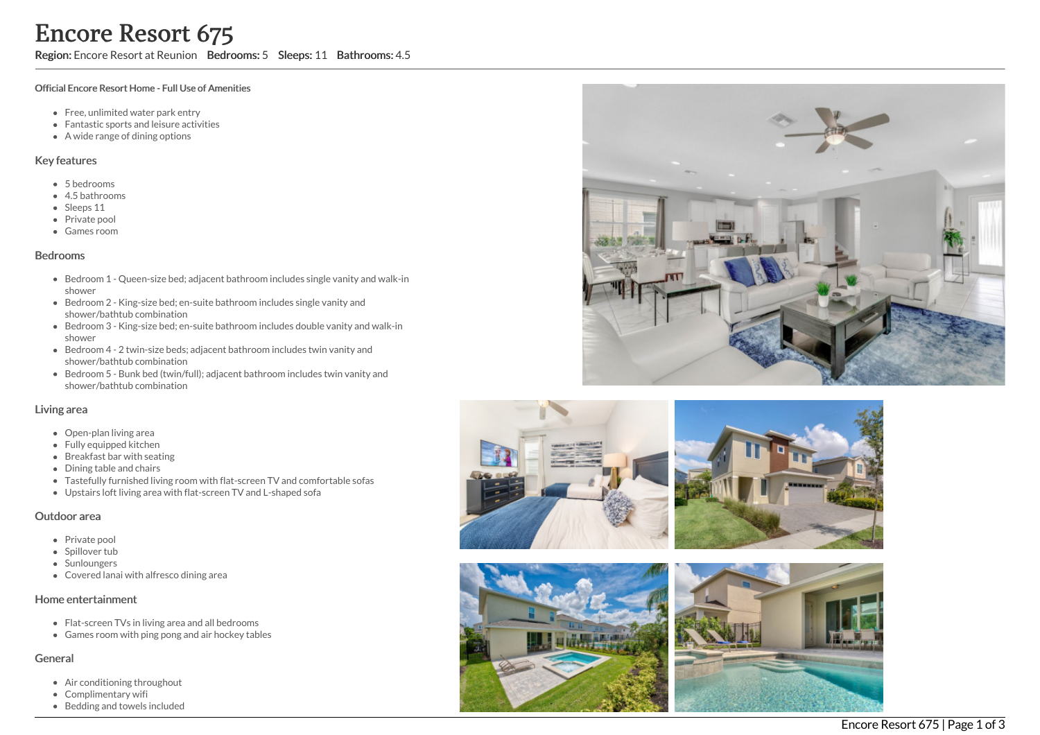Region: Encore Resort at Reunion Bedrooms: 5 Sleeps: 11 Bathrooms: 4.5

#### Official Encore Resort Home - Full Use of Amenities

- Free, unlimited water park entry
- Fantastic sports and leisure activities
- A wide range of dining options

#### Key features

- 5 b e d r o o m s
- 4.5 b a t h r o o m s
- Sleeps 11
- Private pool
- Games room

### **Bedrooms**

- Bedroom 1 Queen-size bed; adjacent bathroom includes single vanity and walk-in s h o w e r
- Bedroom 2 King-size bed; en-suite bathroom includes single vanity and shower/bathtub combination
- Bedroom 3 King-size bed; en-suite bathroom includes double vanity and walk-in s h o w e r
- Bedroom 4 2 twin-size beds; adjacent bathroom includes twin vanity and shower/bathtub combination
- Bedroom 5 Bunk bed (twin/full); adjacent bathroom includes twin vanity and shower/bathtub combination

### Living area

- Open-plan living area
- Fully equipped kitchen
- Breakfast bar with seating
- Dining table and chairs
- Tastefully furnished living room with flat-screen TV and comfortable sofas
- Upstairs loft living area with flat-screen TV and L-shaped sofa

### Outdoor area

- Private pool
- Spillover tub
- Sunloungers
- Covered lanai with alfresco dining area

### Home entertainment

- Flat-screen TVs in living area and all bedrooms
- Games room with ping pong and air hockey tables

### General

- Air conditioning throughout
- Complimentary wifi
- Bedding and towels in clu d e d









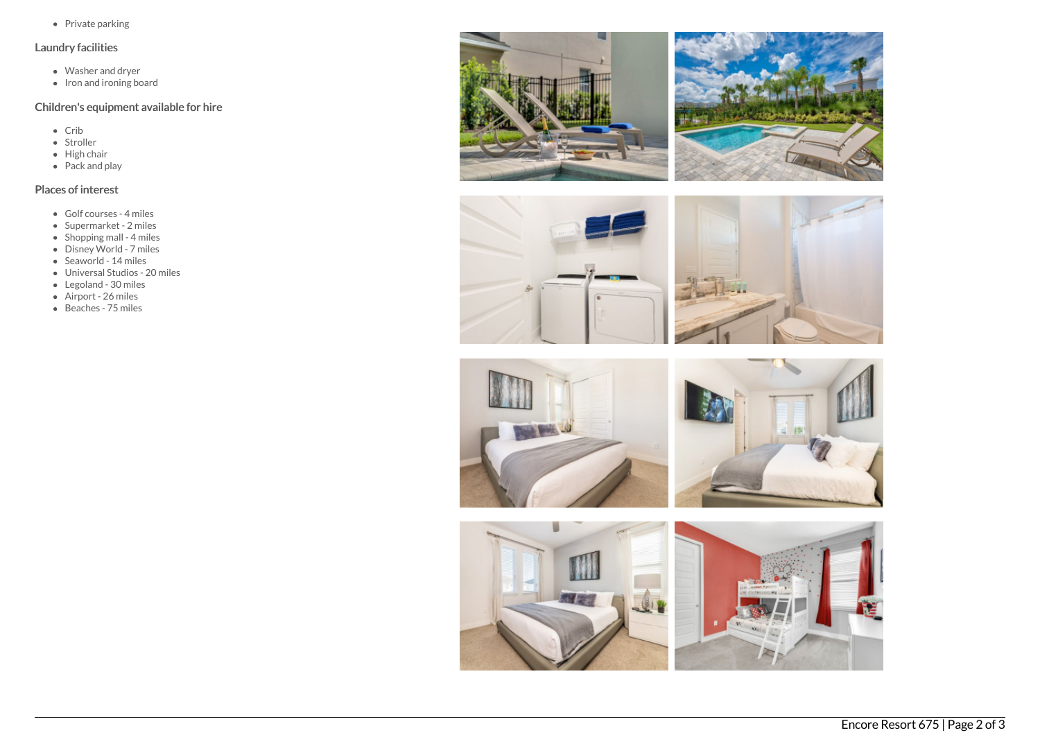• Private parking

### Laundry facilities

- Washer and dryer
- Iron and ironing board

# Children's equipment available for hire

- Crib
- Stroller
- $\bullet$  High chair
- Pack and play

# Places of interest

- Golf courses 4 miles
- Supermarket 2 miles
- Shopping mall 4 miles
- Disney World 7 miles
- Seaworld 14 miles
- Universal Studios 20 miles
- Legoland 30 miles
- Airport 26 miles
- Beaches 75 miles